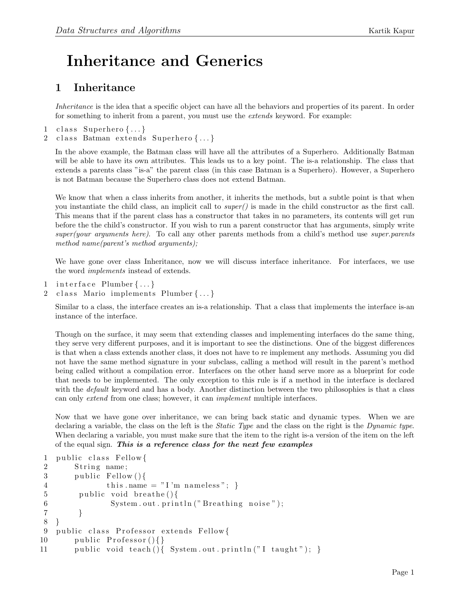## Inheritance and Generics

## 1 Inheritance

Inheritance is the idea that a specific object can have all the behaviors and properties of its parent. In order for something to inherit from a parent, you must use the *extends* keyword. For example:

- 1 class Superhero  $\{\ldots\}$
- 2 class Batman extends Superhero {...}

In the above example, the Batman class will have all the attributes of a Superhero. Additionally Batman will be able to have its own attributes. This leads us to a key point. The is-a relationship. The class that extends a parents class "is-a" the parent class (in this case Batman is a Superhero). However, a Superhero is not Batman because the Superhero class does not extend Batman.

We know that when a class inherits from another, it inherits the methods, but a subtle point is that when you instantiate the child class, an implicit call to  $super()$  is made in the child constructor as the first call. This means that if the parent class has a constructor that takes in no parameters, its contents will get run before the the child's constructor. If you wish to run a parent constructor that has arguments, simply write super(your arguments here). To call any other parents methods from a child's method use super.parents method name(parent's method arguments);

We have gone over class Inheritance, now we will discuss interface inheritance. For interfaces, we use the word implements instead of extends.

- 1 interface Plumber  $\{\ldots\}$
- 2 class Mario implements Plumber {...}

Similar to a class, the interface creates an is-a relationship. That a class that implements the interface is-an instance of the interface.

Though on the surface, it may seem that extending classes and implementing interfaces do the same thing, they serve very different purposes, and it is important to see the distinctions. One of the biggest differences is that when a class extends another class, it does not have to re implement any methods. Assuming you did not have the same method signature in your subclass, calling a method will result in the parent's method being called without a compilation error. Interfaces on the other hand serve more as a blueprint for code that needs to be implemented. The only exception to this rule is if a method in the interface is declared with the *default* keyword and has a body. Another distinction between the two philosophies is that a class can only extend from one class; however, it can implement multiple interfaces.

Now that we have gone over inheritance, we can bring back static and dynamic types. When we are declaring a variable, the class on the left is the *Static Type* and the class on the right is the *Dynamic type*. When declaring a variable, you must make sure that the item to the right is-a version of the item on the left of the equal sign. This is a reference class for the next few examples

```
1 public class Fellow{
2 String name;
3 public Fellow(){
4 this . name = "I'm nameless"; }
5 public void breathe(){
6 System.out.println("Breathing noise");
7 }
8 }
9 public class Professor extends Fellow {
10 public Professor()11 public void teach(){ System.out.println("I taught"); }
```